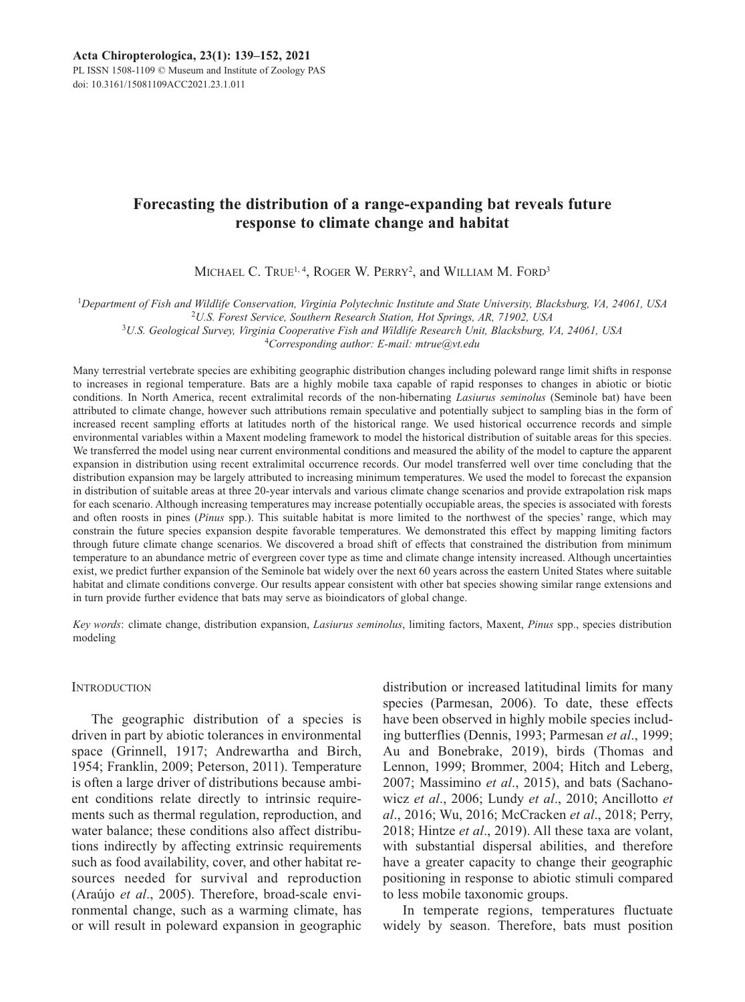PL ISSN 1508-1109 © Museum and Institute of Zoology PAS doi: 10.3161/15081109ACC2021.23.1.011

# **Forecasting the distribution of a range-expanding bat reveals future response to climate change and habitat**

MICHAEL C. TRUE<sup>1, 4</sup>, ROGER W. PERRY<sup>2</sup>, and WILLIAM M. FORD<sup>3</sup>

<sup>1</sup>*Department of Fish and Wildlife Conservation, Virginia Polytechnic Institute and State University, Blacksburg, VA, 24061, USA* 

2 *U.S. Forest Service, Southern Research Station, Hot Springs, AR, 71902, USA* 3 *U.S. Geological Survey, Virginia Cooperative Fish and Wildlife Research Unit, Blacksburg, VA, 24061, USA* 

4 *Corresponding author: E-mail: mtrue@vt.edu*

Many terrestrial vertebrate species are exhibiting geographic distribution changes including poleward range limit shifts in response to increases in regional temperature. Bats are a highly mobile taxa capable of rapid responses to changes in abiotic or biotic conditions. In North America, recent extralimital records of the non-hibernating *Lasiurus seminolus* (Seminole bat) have been attributed to climate change, however such attributions remain speculative and potentially subject to sampling bias in the form of increased recent sampling efforts at latitudes north of the historical range. We used historical occurrence records and simple environmental variables within a Maxent modeling framework to model the historical distribution of suitable areas for this species. We transferred the model using near current environmental conditions and measured the ability of the model to capture the apparent expansion in distribution using recent extralimital occurrence records. Our model transferred well over time concluding that the distribution expansion may be largely attributed to increasing minimum temperatures. We used the model to forecast the expansion in distribution of suitable areas at three 20-year intervals and various climate change scenarios and provide extrapolation risk maps for each scenario. Although increasing temperatures may increase potentially occupiable areas, the species is associated with forests and often roosts in pines (*Pinus* spp.). This suitable habitat is more limited to the northwest of the species' range, which may constrain the future species expansion despite favorable temperatures. We demonstrated this effect by mapping limiting factors through future climate change scenarios. We discovered a broad shift of effects that constrained the distribution from minimum temperature to an abundance metric of evergreen cover type as time and climate change intensity increased. Although uncertainties exist, we predict further expansion of the Seminole bat widely over the next 60 years across the eastern United States where suitable habitat and climate conditions converge. Our results appear consistent with other bat species showing similar range extensions and in turn provide further evidence that bats may serve as bioindicators of global change.

*Key words*: climate change, distribution expansion, *Lasiurus seminolus*, limiting factors, Maxent, *Pinus* spp., species distribution modeling

### **INTRODUCTION**

The geographic distribution of a species is driven in part by abiotic tolerances in environmental space (Grinnell, 1917; Andrewartha and Birch, 1954; Franklin, 2009; Peterson, 2011). Temperature is often a large driver of distributions because ambient conditions relate directly to intrinsic requirements such as thermal regulation, reproduction, and water balance; these conditions also affect distributions indirectly by affecting extrinsic requirements such as food availability, cover, and other habitat resources needed for survival and reproduction (Araújo *et al*., 2005). Therefore, broad-scale environmental change, such as a warming climate, has or will result in poleward expansion in geographic distribution or increased latitudinal limits for many species (Parmesan, 2006). To date, these effects have been observed in highly mobile species including butterflies (Dennis, 1993; Parmesan *et al*., 1999; Au and Bonebrake, 2019), birds (Thomas and Lennon, 1999; Brommer, 2004; Hitch and Leberg, 2007; Massimino *et al.*, 2015), and bats (Sachanowicz *et al*., 2006; Lundy *et al*., 2010; Ancillotto *et al*., 2016; Wu, 2016; McCracken *et al*., 2018; Perry, 2018; Hintze *et al*., 2019). All these taxa are volant, with substantial dispersal abilities, and therefore have a greater capacity to change their geographic positioning in response to abiotic stimuli compared to less mobile taxonomic groups.

In temperate regions, temperatures fluctuate widely by season. Therefore, bats must position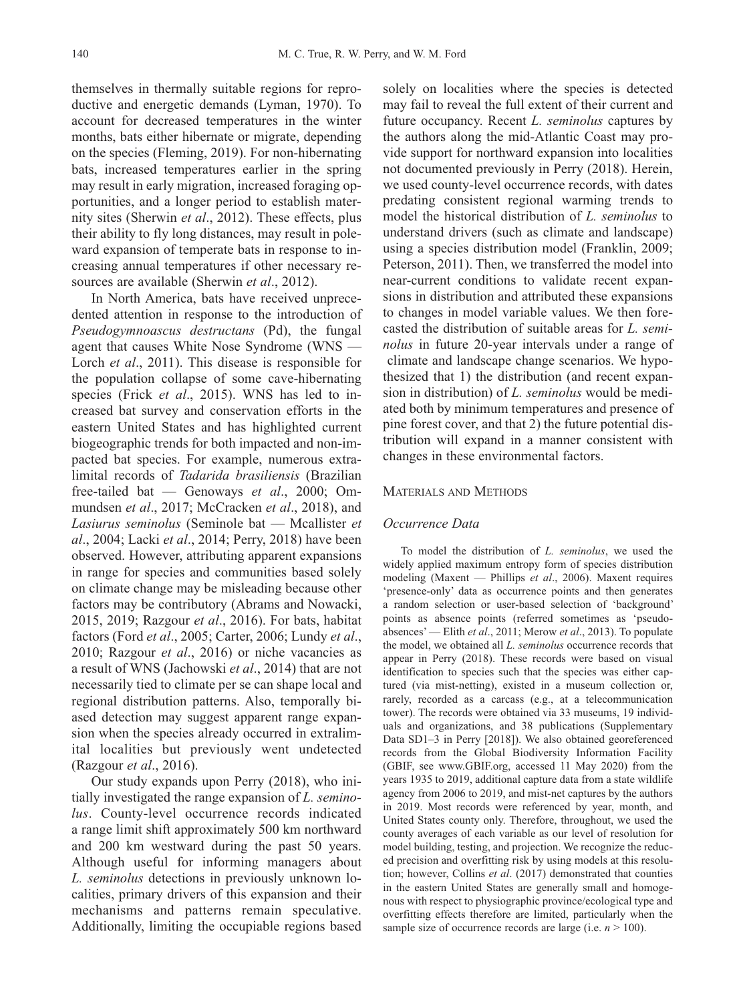themselves in thermally suitable regions for reproductive and energetic demands (Lyman, 1970). To account for decreased temperatures in the winter months, bats either hibernate or migrate, depending on the species (Fleming, 2019). For non-hibernating bats, increased temperatures earlier in the spring may result in early migration, increased foraging opportunities, and a longer period to establish maternity sites (Sherwin *et al*., 2012). These effects, plus their ability to fly long distances, may result in poleward expansion of temperate bats in response to increasing annual temperatures if other necessary resources are available (Sherwin *et al*., 2012).

In North America, bats have received unprecedented attention in response to the introduction of *Pseudogymnoascus destructans* (Pd), the fungal agent that causes White Nose Syndrome (WNS — Lorch *et al*., 2011). This disease is responsible for the population collapse of some cave-hibernating species (Frick *et al*., 2015). WNS has led to increased bat survey and conservation efforts in the eastern United States and has highlighted current biogeographic trends for both impacted and non-impacted bat species. For example, numerous extralimital records of *Tadarida brasiliensis* (Brazilian free-tailed bat — Genoways et al., 2000; Ommundsen *et al*., 2017; McCracken *et al*., 2018), and *Lasiurus seminolus* (Seminole bat — Mcallister *et al*., 2004; Lacki *et al*., 2014; Perry, 2018) have been observed. However, attributing apparent expansions in range for species and communities based solely on climate change may be misleading because other factors may be contributory (Abrams and Nowacki, 2015, 2019; Razgour *et al*., 2016). For bats, habitat factors (Ford *et al*., 2005; Carter, 2006; Lundy *et al*., 2010; Razgour *et al*., 2016) or niche vacancies as a result of WNS (Jachowski *et al*., 2014) that are not necessarily tied to climate per se can shape local and regional distribution patterns. Also, temporally biased detection may suggest apparent range expansion when the species already occurred in extralimital localities but previously went undetected (Razgour *et al*., 2016).

Our study expands upon Perry (2018), who initially investigated the range expansion of *L. seminolus*. County-level occurrence records indicated a range limit shift approximately 500 km northward and 200 km westward during the past 50 years. Although useful for informing managers about *L. seminolus* detections in previously unknown localities, primary drivers of this expansion and their mechanisms and patterns remain speculative. Additionally, limiting the occupiable regions based solely on localities where the species is detected may fail to reveal the full extent of their current and future occupancy. Recent *L. seminolus* captures by the authors along the mid-Atlantic Coast may provide support for northward expansion into localities not documented previously in Perry (2018). Herein, we used county-level occurrence records, with dates predating consistent regional warming trends to model the historical distribution of *L. seminolus* to understand drivers (such as climate and landscape) using a species distribution model (Franklin, 2009; Peterson, 2011). Then, we transferred the model into near-current conditions to validate recent expansions in distribution and attributed these expansions to changes in model variable values. We then forecasted the distribution of suitable areas for *L. seminolus* in future 20-year intervals under a range of climate and landscape change scenarios. We hypothesized that 1) the distribution (and recent expansion in distribution) of *L. seminolus* would be mediated both by minimum temperatures and presence of pine forest cover, and that 2) the future potential distribution will expand in a manner consistent with changes in these environmental factors.

### MATERIALS AND METHODS

### *Occurrence Data*

To model the distribution of *L. seminolus*, we used the widely applied maximum entropy form of species distribution modeling (Maxent — Phillips *et al*., 2006). Maxent requires 'presence-only' data as occurrence points and then generates a random selection or user-based selection of 'background' points as absence points (referred sometimes as 'pseudoabsences' — Elith *et al*., 2011; Merow *et al*., 2013). To populate the model, we obtained all *L. seminolus* occurrence records that appear in Perry (2018). These records were based on visual identification to species such that the species was either captured (via mist-netting), existed in a museum collection or, rarely, recorded as a carcass (e.g., at a telecommunication tower). The records were obtained via 33 museums, 19 individuals and organizations, and 38 publications (Supplementary Data SD1–3 in Perry [2018]). We also obtained georeferenced records from the Global Biodiversity Information Facility (GBIF, see www.GBIF.org, accessed 11 May 2020) from the years 1935 to 2019, additional capture data from a state wildlife agency from 2006 to 2019, and mist-net captures by the authors in 2019. Most records were referenced by year, month, and United States county only. Therefore, throughout, we used the county averages of each variable as our level of resolution for model building, testing, and projection. We recognize the reduc ed precision and overfitting risk by using models at this resolution; however, Collins *et al*. (2017) demonstrated that counties in the eastern United States are generally small and homogenous with respect to physiographic province/ecological type and overfitting effects therefore are limited, particularly when the sample size of occurrence records are large (i.e.  $n > 100$ ).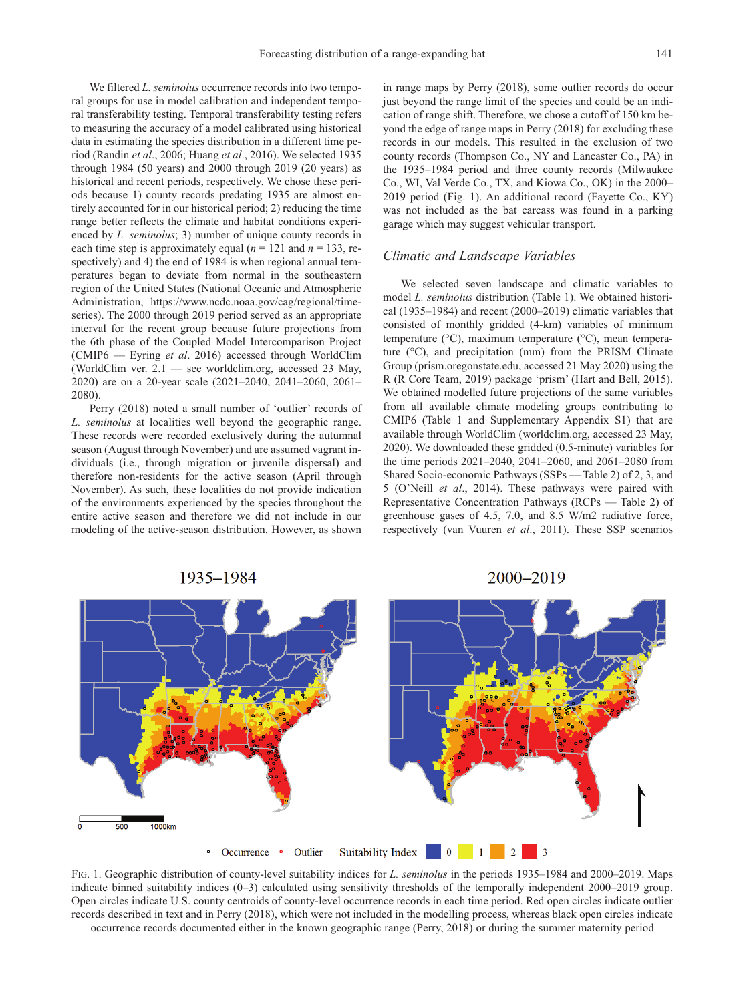We filtered *L. seminolus* occurrence records into two temporal groups for use in model calibration and independent temporal transferability testing. Temporal transferability testing refers to measuring the accuracy of a model calibrated using historical data in estimating the species distribution in a different time period (Randin *et al*., 2006; Huang *et al*., 2016). We selected 1935 through 1984 (50 years) and 2000 through 2019 (20 years) as historical and recent periods, respectively. We chose these periods because 1) county records predating 1935 are almost entirely accounted for in our historical period; 2) reducing the time range better reflects the climate and habitat conditions experienced by *L. seminolus*; 3) number of unique county records in each time step is approximately equal  $(n = 121$  and  $n = 133$ , respectively) and 4) the end of 1984 is when regional annual temperatures began to deviate from normal in the southeastern region of the United States (National Oceanic and Atmospheric Administration, https://www.ncdc.noaa.gov/cag/regional/timeseries). The 2000 through 2019 period served as an appropriate interval for the recent group because future projections from the 6th phase of the Coupled Model Intercomparison Project (CMIP6 — Eyring *et al*. 2016) accessed through WorldClim (WorldClim ver. 2.1 — see worldclim.org, accessed 23 May, 2020) are on a 20-year scale (2021–2040, 2041–2060, 2061– 2080).

Perry (2018) noted a small number of 'outlier' records of *L. seminolus* at localities well beyond the geographic range. These records were recorded exclusively during the autumnal season (August through November) and are assumed vagrant individuals (i.e., through migration or juvenile dispersal) and therefore non-residents for the active season (April through November). As such, these localities do not provide indication of the environments experienced by the species throughout the entire active season and therefore we did not include in our modeling of the active-season distribution. However, as shown in range maps by Perry (2018), some outlier records do occur just beyond the range limit of the species and could be an indication of range shift. Therefore, we chose a cutoff of 150 km beyond the edge of range maps in Perry (2018) for excluding these records in our models. This resulted in the exclusion of two county records (Thompson Co., NY and Lancaster Co., PA) in the 1935–1984 period and three county records (Milwaukee Co., WI, Val Verde Co., TX, and Kiowa Co., OK) in the 2000– 2019 period (Fig. 1). An additional record (Fayette Co., KY) was not included as the bat carcass was found in a parking garage which may suggest vehicular transport.

### *Climatic and Landscape Variables*

We selected seven landscape and climatic variables to model *L. seminolus* distribution (Table 1). We obtained historical (1935–1984) and recent (2000–2019) climatic variables that consisted of monthly gridded (4-km) variables of minimum temperature (°C), maximum temperature (°C), mean temperature (°C), and precipitation (mm) from the PRISM Climate Group (prism.oregonstate.edu, accessed 21 May 2020) using the R (R Core Team, 2019) package 'prism' (Hart and Bell, 2015). We obtained modelled future projections of the same variables from all available climate modeling groups contributing to CMIP6 (Table 1 and Supplementary Appendix S1) that are available through WorldClim (worldclim.org, accessed 23 May, 2020). We downloaded these gridded (0.5-minute) variables for the time periods 2021–2040, 2041–2060, and 2061–2080 from Shared Socio-economic Pathways (SSPs — Table 2) of 2, 3, and 5 (O'Neill *et al*., 2014). These pathways were paired with Representative Concentration Pathways (RCPs — Table 2) of greenhouse gases of 4.5, 7.0, and 8.5 W/m2 radiative force, respectively (van Vuuren *et al*., 2011). These SSP scenarios



FIG. 1. Geographic distribution of county-level suitability indices for *L. seminolus* in the periods 1935–1984 and 2000–2019. Maps indicate binned suitability indices (0–3) calculated using sensitivity thresholds of the temporally independent 2000–2019 group. Open circles indicate U.S. county centroids of county-level occurrence records in each time period. Red open circles indicate outlier records described in text and in Perry (2018), which were not included in the modelling process, whereas black open circles indicate occurrence records documented either in the known geographic range (Perry, 2018) or during the summer maternity period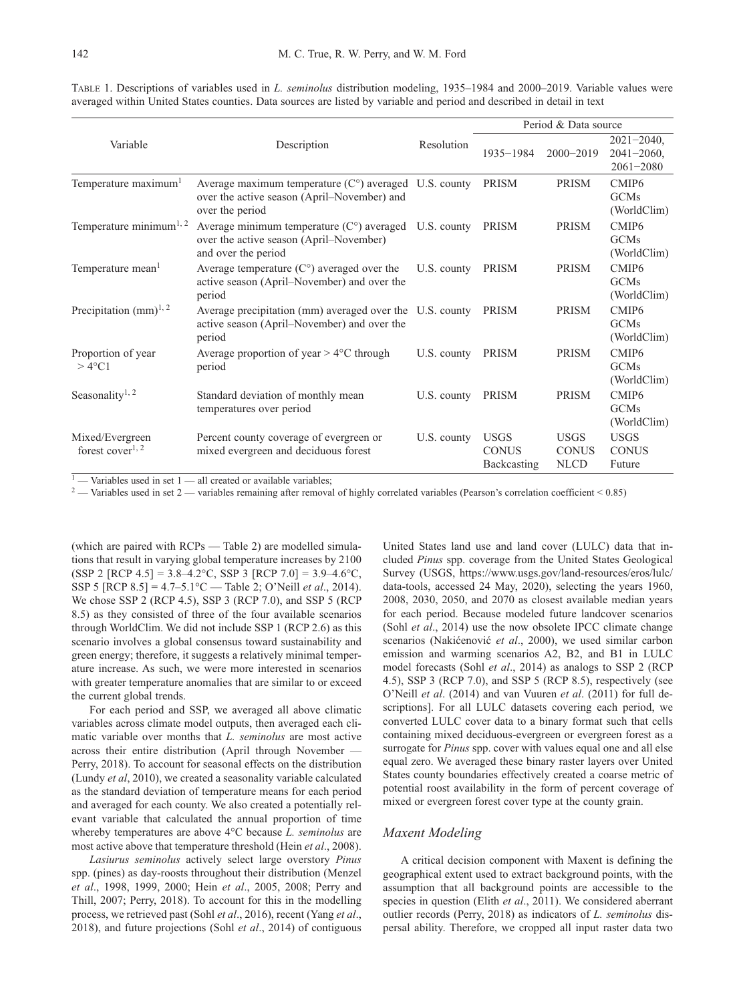|                                                 |                                                                                                                           |             |                                            |                                            | Period & Data source                                |  |
|-------------------------------------------------|---------------------------------------------------------------------------------------------------------------------------|-------------|--------------------------------------------|--------------------------------------------|-----------------------------------------------------|--|
| Variable                                        | Description                                                                                                               | Resolution  | 1935-1984                                  | $2000 - 2019$                              | $2021 - 2040$ ,<br>$2041 - 2060$ ,<br>$2061 - 2080$ |  |
| Temperature maximum <sup>1</sup>                | Average maximum temperature $(Co)$ averaged U.S. county<br>over the active season (April–November) and<br>over the period |             | <b>PRISM</b>                               | <b>PRISM</b>                               | CMIP <sub>6</sub><br><b>GCMs</b><br>(WorldClim)     |  |
| Temperature minimum <sup>1, 2</sup>             | Average minimum temperature $(Co)$ averaged U.S. county<br>over the active season (April–November)<br>and over the period |             | <b>PRISM</b>                               | <b>PRISM</b>                               | CMIP <sub>6</sub><br>GCMs<br>(WorldClim)            |  |
| Temperature mean <sup>1</sup>                   | Average temperature $(C^{\circ})$ averaged over the<br>active season (April–November) and over the<br>period              | U.S. county | PRISM                                      | PRISM                                      | CMIP <sub>6</sub><br><b>GCMs</b><br>(WorldClim)     |  |
| Precipitation $(mm)^{1,2}$                      | Average precipitation (mm) averaged over the U.S. county<br>active season (April–November) and over the<br>period         |             | <b>PRISM</b>                               | <b>PRISM</b>                               | CMIP <sub>6</sub><br><b>GCMs</b><br>(WorldClim)     |  |
| Proportion of year<br>$>4^{\circ}$ C1           | Average proportion of year $> 4^{\circ}$ C through<br>period                                                              | U.S. county | PRISM                                      | PRISM                                      | CMIP <sub>6</sub><br><b>GCMs</b><br>(WorldClim)     |  |
| Seasonality <sup>1, 2</sup>                     | Standard deviation of monthly mean<br>temperatures over period                                                            | U.S. county | PRISM                                      | <b>PRISM</b>                               | CMIP <sub>6</sub><br>GCMs<br>(WorldClim)            |  |
| Mixed/Evergreen<br>forest cover <sup>1, 2</sup> | Percent county coverage of evergreen or<br>mixed evergreen and deciduous forest                                           | U.S. county | <b>USGS</b><br><b>CONUS</b><br>Backcasting | <b>USGS</b><br><b>CONUS</b><br><b>NLCD</b> | <b>USGS</b><br><b>CONUS</b><br>Future               |  |

TABLE 1. Descriptions of variables used in *L. seminolus* distribution modeling, 1935–1984 and 2000–2019. Variable values were averaged within United States counties. Data sources are listed by variable and period and described in detail in text

 $-$  Variables used in set 1  $-$  all created or available variables;

 $2$  — Variables used in set 2 — variables remaining after removal of highly correlated variables (Pearson's correlation coefficient < 0.85)

(which are paired with RCPs — Table 2) are modelled simulations that result in varying global temperature increases by 2100 (SSP 2 [RCP 4.5] = 3.8–4.2°C, SSP 3 [RCP 7.0] = 3.9–4.6°C, SSP 5 [RCP 8.5] = 4.7–5.1°C — Table 2; O'Neill *et al*., 2014). We chose SSP 2 (RCP 4.5), SSP 3 (RCP 7.0), and SSP 5 (RCP 8.5) as they consisted of three of the four available scenarios through WorldClim. We did not include SSP 1 (RCP 2.6) as this scenario involves a global consensus toward sustainability and green energy; therefore, it suggests a relatively minimal temperature increase. As such, we were more interested in scenarios with greater temperature anomalies that are similar to or exceed the current global trends.

For each period and SSP, we averaged all above climatic variables across climate model outputs, then averaged each climatic variable over months that *L. seminolus* are most active across their entire distribution (April through November — Perry, 2018). To account for seasonal effects on the distribution (Lundy *et al*, 2010), we created a seasonality variable calculated as the standard deviation of temperature means for each period and averaged for each county. We also created a potentially relevant variable that calculated the annual proportion of time whereby temperatures are above 4°C because *L. seminolus* are most active above that temperature threshold (Hein *et al*., 2008).

*Lasiurus seminolus* actively select large overstory *Pinus* spp. (pines) as day-roosts throughout their distribution (Menzel *et al*., 1998, 1999, 2000; Hein *et al*., 2005, 2008; Perry and Thill, 2007; Perry, 2018). To account for this in the modelling process, we retrieved past (Sohl *et al*., 2016), recent (Yang *et al*., 2018), and future projections (Sohl *et al*., 2014) of contiguous United States land use and land cover (LULC) data that included *Pinus* spp. coverage from the United States Geological Survey (USGS, https://www.usgs.gov/land-resources/eros/lulc/ data-tools, accessed 24 May, 2020), selecting the years 1960, 2008, 2030, 2050, and 2070 as closest available median years for each period. Because modeled future landcover scenarios (Sohl *et al*., 2014) use the now obsolete IPCC climate change scenarios (Nakićenović *et al*., 2000), we used similar carbon emission and warming scenarios A2, B2, and B1 in LULC model forecasts (Sohl *et al*., 2014) as analogs to SSP 2 (RCP 4.5), SSP 3 (RCP 7.0), and SSP 5 (RCP 8.5), respectively (see O'Neill *et al*. (2014) and van Vuuren *et al*. (2011) for full descriptions]. For all LULC datasets covering each period, we converted LULC cover data to a binary format such that cells containing mixed deciduous-evergreen or evergreen forest as a surrogate for *Pinus* spp. cover with values equal one and all else equal zero. We averaged these binary raster layers over United States county boundaries effectively created a coarse metric of potential roost availability in the form of percent coverage of mixed or evergreen forest cover type at the county grain.

### *Maxent Modeling*

A critical decision component with Maxent is defining the geographical extent used to extract background points, with the assumption that all background points are accessible to the species in question (Elith *et al*., 2011). We considered aberrant outlier records (Perry, 2018) as indicators of *L. seminolus* dispersal ability. Therefore, we cropped all input raster data two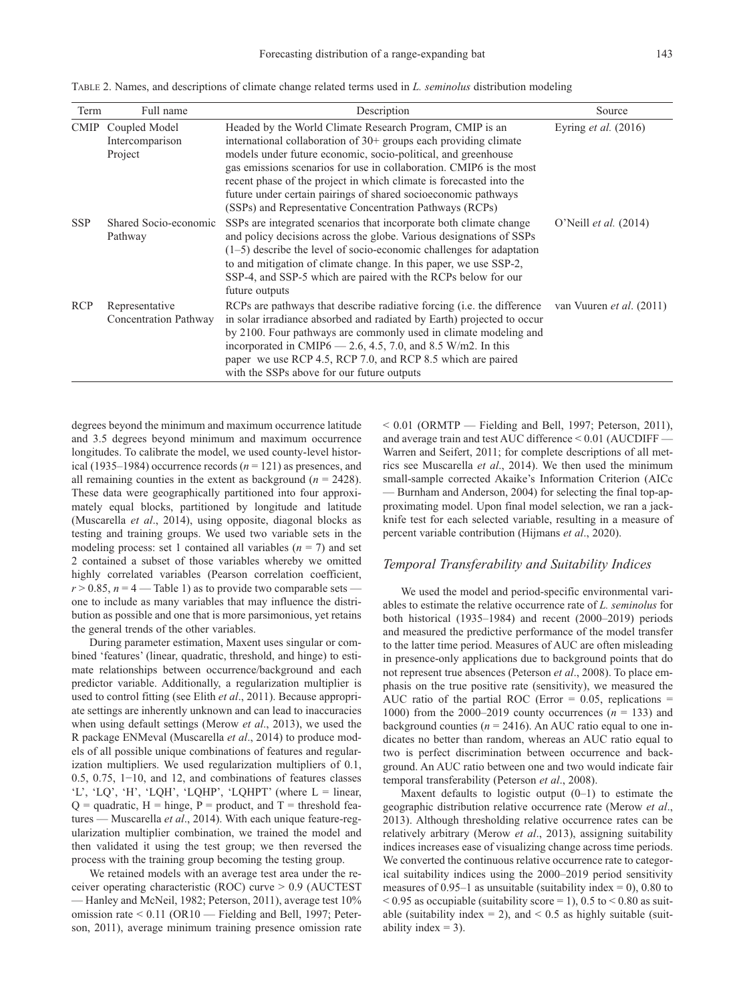TABLE 2. Names, and descriptions of climate change related terms used in *L. seminolus* distribution modeling

| Term       | Full name                                        | Description                                                                                                                                                                                                                                                                                                                                                                                                                                                                | Source                          |
|------------|--------------------------------------------------|----------------------------------------------------------------------------------------------------------------------------------------------------------------------------------------------------------------------------------------------------------------------------------------------------------------------------------------------------------------------------------------------------------------------------------------------------------------------------|---------------------------------|
|            | CMIP Coupled Model<br>Intercomparison<br>Project | Headed by the World Climate Research Program, CMIP is an<br>international collaboration of $30+$ groups each providing climate<br>models under future economic, socio-political, and greenhouse<br>gas emissions scenarios for use in collaboration. CMIP6 is the most<br>recent phase of the project in which climate is forecasted into the<br>future under certain pairings of shared socioeconomic pathways<br>(SSPs) and Representative Concentration Pathways (RCPs) | Eyring <i>et al.</i> $(2016)$   |
| <b>SSP</b> | Shared Socio-economic<br>Pathway                 | SSPs are integrated scenarios that incorporate both climate change<br>and policy decisions across the globe. Various designations of SSPs<br>$(1-5)$ describe the level of socio-economic challenges for adaptation<br>to and mitigation of climate change. In this paper, we use SSP-2,<br>SSP-4, and SSP-5 which are paired with the RCPs below for our<br>future outputs                                                                                                | O'Neill <i>et al.</i> (2014)    |
| <b>RCP</b> | Representative<br>Concentration Pathway          | RCPs are pathways that describe radiative forcing ( <i>i.e.</i> the difference<br>in solar irradiance absorbed and radiated by Earth) projected to occur<br>by 2100. Four pathways are commonly used in climate modeling and<br>incorporated in CMIP6 $-$ 2.6, 4.5, 7.0, and 8.5 W/m2. In this<br>paper we use RCP 4.5, RCP 7.0, and RCP 8.5 which are paired<br>with the SSPs above for our future outputs                                                                | van Vuuren <i>et al.</i> (2011) |

degrees beyond the minimum and maximum occurrence latitude and 3.5 degrees beyond minimum and maximum occurrence longitudes. To calibrate the model, we used county-level historical (1935–1984) occurrence records  $(n = 121)$  as presences, and all remaining counties in the extent as background (*n* = 2428). These data were geographically partitioned into four approximately equal blocks, partitioned by longitude and latitude (Muscarella *et al*., 2014), using opposite, diagonal blocks as testing and training groups. We used two variable sets in the modeling process: set 1 contained all variables  $(n = 7)$  and set 2 contained a subset of those variables whereby we omitted highly correlated variables (Pearson correlation coefficient,  $r > 0.85$ ,  $n = 4$  — Table 1) as to provide two comparable sets one to include as many variables that may influence the distribution as possible and one that is more parsimonious, yet retains the general trends of the other variables.

During parameter estimation, Maxent uses singular or combined 'features' (linear, quadratic, threshold, and hinge) to estimate relationships between occurrence/background and each predictor variable. Additionally, a regularization multiplier is used to control fitting (see Elith *et al*., 2011). Because appropriate settings are inherently unknown and can lead to inaccuracies when using default settings (Merow *et al*., 2013), we used the R package ENMeval (Muscarella *et al*., 2014) to produce models of all possible unique combinations of features and regularization multipliers. We used regularization multipliers of 0.1, 0.5, 0.75, 1−10, and 12, and combinations of features classes 'L', 'LQ', 'H', 'LQH', 'LQHP', 'LQHPT' (where L = linear,  $Q =$  quadratic,  $H =$  hinge,  $P =$  product, and  $T =$  threshold features — Muscarella *et al*., 2014). With each unique feature-regularization multiplier combination, we trained the model and then validated it using the test group; we then reversed the process with the training group becoming the testing group.

We retained models with an average test area under the receiver operating characteristic (ROC) curve > 0.9 (AUCTEST — Hanley and McNeil, 1982; Peterson, 2011), average test 10% omission rate < 0.11 (OR10 — Fielding and Bell, 1997; Peterson, 2011), average minimum training presence omission rate  $< 0.01$  (ORMTP — Fielding and Bell, 1997; Peterson, 2011), and average train and test AUC difference < 0.01 (AUCDIFF — Warren and Seifert, 2011; for complete descriptions of all metrics see Muscarella *et al*., 2014). We then used the minimum small-sample corrected Akaike's Information Criterion (AICc — Burnham and Anderson, 2004) for selecting the final top-approximating model. Upon final model selection, we ran a jackknife test for each selected variable, resulting in a measure of percent variable contribution (Hijmans *et al*., 2020).

### *Temporal Transferability and Suitability Indices*

We used the model and period-specific environmental variables to estimate the relative occurrence rate of *L. seminolus* for both historical (1935–1984) and recent (2000–2019) periods and measured the predictive performance of the model transfer to the latter time period. Measures of AUC are often misleading in presence-only applications due to background points that do not represent true absences (Peterson *et al*., 2008). To place emphasis on the true positive rate (sensitivity), we measured the AUC ratio of the partial ROC (Error  $= 0.05$ , replications  $=$ 1000) from the 2000–2019 county occurrences  $(n = 133)$  and background counties ( $n = 2416$ ). An AUC ratio equal to one indicates no better than random, whereas an AUC ratio equal to two is perfect discrimination between occurrence and background. An AUC ratio between one and two would indicate fair temporal transferability (Peterson *et al*., 2008).

Maxent defaults to logistic output  $(0-1)$  to estimate the geographic distribution relative occurrence rate (Merow *et al*., 2013). Although thresholding relative occurrence rates can be relatively arbitrary (Merow *et al*., 2013), assigning suitability indices increases ease of visualizing change across time periods. We converted the continuous relative occurrence rate to categorical suitability indices using the 2000–2019 period sensitivity measures of  $0.95-1$  as unsuitable (suitability index = 0), 0.80 to  $< 0.95$  as occupiable (suitability score = 1), 0.5 to  $< 0.80$  as suitable (suitability index = 2), and  $< 0.5$  as highly suitable (suitability index  $=$  3).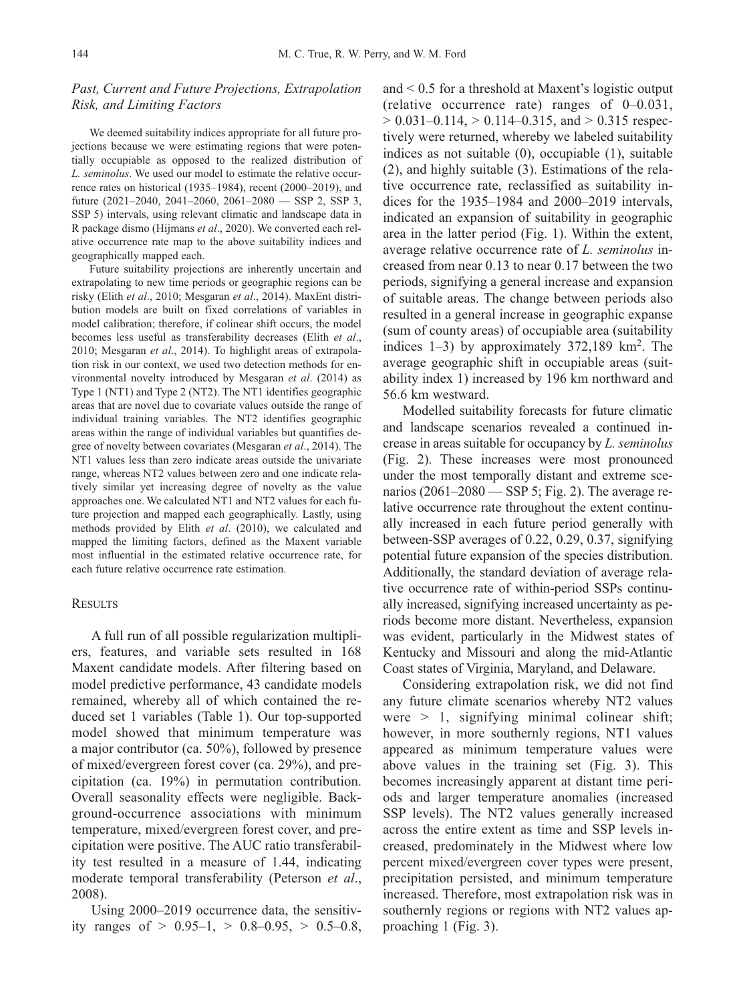## *Past, Current and Future Projections, Extrapolation Risk, and Limiting Factors*

We deemed suitability indices appropriate for all future projections because we were estimating regions that were potentially occupiable as opposed to the realized distribution of *L. seminolus*. We used our model to estimate the relative occurrence rates on historical (1935–1984), recent (2000–2019), and future  $(2021-2040, 2041-2060, 2061-2080$  - SSP 2, SSP 3, SSP 5) intervals, using relevant climatic and landscape data in R package dismo (Hijmans *et al*., 2020). We converted each relative occurrence rate map to the above suitability indices and geographically mapped each.

Future suitability projections are inherently uncertain and extrapolating to new time periods or geographic regions can be risky (Elith *et al*., 2010; Mesgaran *et al*., 2014). MaxEnt distribution models are built on fixed correlations of variables in model calibration; therefore, if colinear shift occurs, the model becomes less useful as transferability decreases (Elith *et al*., 2010; Mesgaran *et al*., 2014). To highlight areas of extrapolation risk in our context, we used two detection methods for environmental novelty introduced by Mesgaran *et al*. (2014) as Type 1 (NT1) and Type 2 (NT2). The NT1 identifies geographic areas that are novel due to covariate values outside the range of individual training variables. The NT2 identifies geographic areas within the range of individual variables but quantifies degree of novelty between covariates (Mesgaran *et al*., 2014). The NT1 values less than zero indicate areas outside the univariate range, whereas NT2 values between zero and one indicate relatively similar yet increasing degree of novelty as the value approaches one. We calculated NT1 and NT2 values for each future projection and mapped each geographically. Lastly, using methods provided by Elith *et al*. (2010), we calculated and mapped the limiting factors, defined as the Maxent variable most influential in the estimated relative occurrence rate, for each future relative occurrence rate estimation.

### **RESULTS**

A full run of all possible regularization multipliers, features, and variable sets resulted in 168 Maxent candidate models. After filtering based on model predictive performance, 43 candidate models remained, whereby all of which contained the reduced set 1 variables (Table 1). Our top-supported model showed that minimum temperature was a major contributor (ca. 50%), followed by presence of mixed/evergreen forest cover (ca. 29%), and precipitation (ca. 19%) in permutation contribution. Overall seasonality effects were negligible. Back ground-occurrence associations with minimum temperature, mixed/evergreen forest cover, and precipitation were positive. The AUC ratio transferability test resulted in a measure of 1.44, indicating moderate temporal transferability (Peterson *et al*., 2008).

Using 2000–2019 occurrence data, the sensitivity ranges of  $> 0.95-1$ ,  $> 0.8-0.95$ ,  $> 0.5-0.8$ , and < 0.5 for a threshold at Maxent's logistic output (relative occurrence rate) ranges of 0–0.031,  $> 0.031 - 0.114$ ,  $> 0.114 - 0.315$ , and  $> 0.315$  respectively were returned, whereby we labeled suitability indices as not suitable (0), occupiable (1), suitable (2), and highly suitable (3). Estimations of the relative occurrence rate, reclassified as suitability indices for the 1935–1984 and 2000–2019 intervals, indicated an expansion of suitability in geographic area in the latter period (Fig. 1). Within the extent, average relative occurrence rate of *L. seminolus* increased from near 0.13 to near 0.17 between the two periods, signifying a general increase and expansion of suitable areas. The change between periods also resulted in a general increase in geographic expanse (sum of county areas) of occupiable area (suitability indices  $1-3$ ) by approximately 372,189 km<sup>2</sup>. The average geographic shift in occupiable areas (suitability index 1) increased by 196 km northward and 56.6 km westward.

Modelled suitability forecasts for future climatic and landscape scenarios revealed a continued increase in areas suitable for occupancy by *L. seminolus* (Fig. 2). These increases were most pronounced under the most temporally distant and extreme scenarios (2061–2080 — SSP 5; Fig. 2). The average relative occurrence rate throughout the extent continually increased in each future period generally with between-SSP averages of 0.22, 0.29, 0.37, signifying potential future expansion of the species distribution. Additionally, the standard deviation of average relative occurrence rate of within-period SSPs continually increased, signifying increased uncertainty as periods become more distant. Nevertheless, expansion was evident, particularly in the Midwest states of Kentucky and Missouri and along the mid-Atlantic Coast states of Virginia, Maryland, and Delaware.

Considering extrapolation risk, we did not find any future climate scenarios whereby NT2 values were  $> 1$ , signifying minimal colinear shift; however, in more southernly regions, NT1 values appeared as minimum temperature values were above values in the training set (Fig. 3). This becomes increasingly apparent at distant time periods and larger temperature anomalies (increased SSP levels). The NT2 values generally increased across the entire extent as time and SSP levels increased, predominately in the Midwest where low percent mixed/evergreen cover types were present, precipitation persisted, and minimum temperature increased. Therefore, most extrapolation risk was in southernly regions or regions with NT2 values approaching 1 (Fig. 3).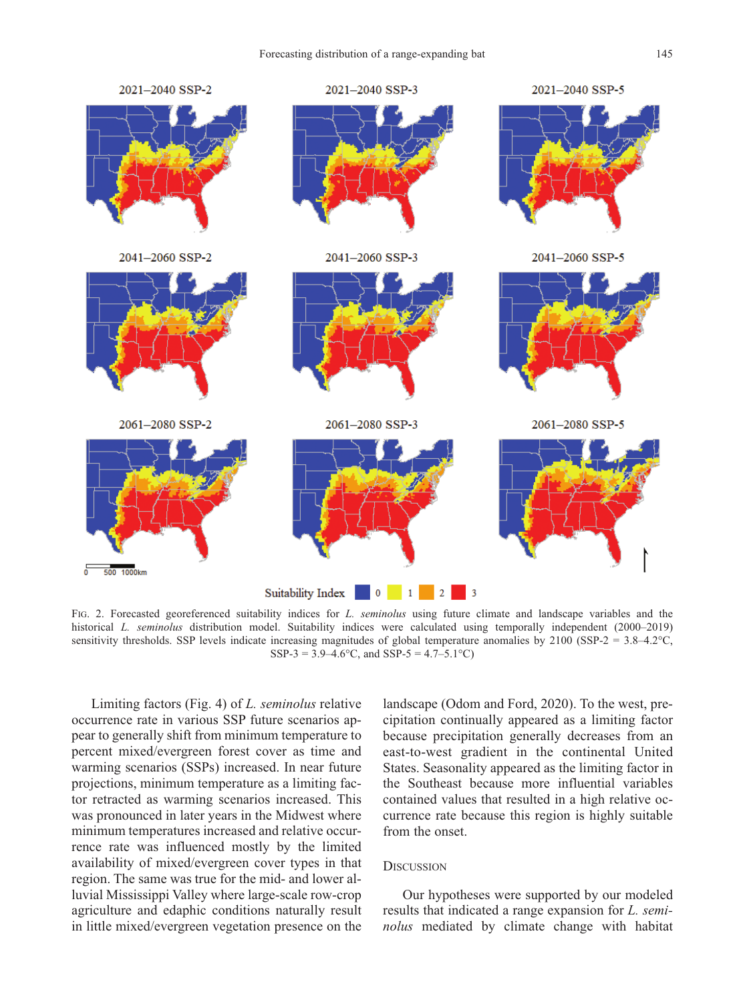

FIG. 2. Forecasted georeferenced suitability indices for *L. seminolus* using future climate and landscape variables and the historical *L. seminolus* distribution model. Suitability indices were calculated using temporally independent (2000–2019) sensitivity thresholds. SSP levels indicate increasing magnitudes of global temperature anomalies by 2100 (SSP-2 = 3.8–4.2°C, SSP-3 =  $3.9-4.6$ °C, and SSP-5 =  $4.7-5.1$ °C)

Limiting factors (Fig. 4) of *L. seminolus* relative occurrence rate in various SSP future scenarios appear to generally shift from minimum temperature to percent mixed/evergreen forest cover as time and warming scenarios (SSPs) increased. In near future projections, minimum temperature as a limiting factor retracted as warming scenarios increased. This was pronounced in later years in the Midwest where minimum temperatures increased and relative occurrence rate was influenced mostly by the limited availability of mixed/evergreen cover types in that region. The same was true for the mid- and lower alluvial Mississippi Valley where large-scale row-crop agriculture and edaphic conditions naturally result in little mixed/evergreen vegetation presence on the landscape (Odom and Ford, 2020). To the west, precipitation continually appeared as a limiting factor because precipitation generally decreases from an east-to-west gradient in the continental United States. Seasonality appeared as the limiting factor in the Southeast because more influential variables contained values that resulted in a high relative occurrence rate because this region is highly suitable from the onset.

## **DISCUSSION**

Our hypotheses were supported by our modeled results that indicated a range expansion for *L. seminolus* mediated by climate change with habitat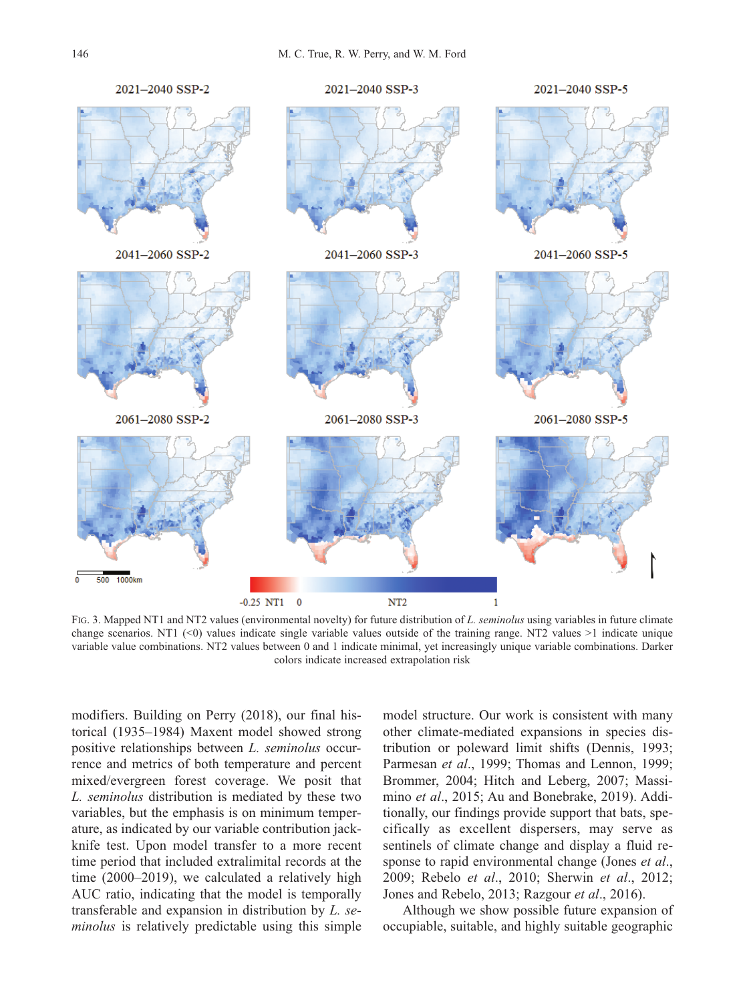

FIG. 3. Mapped NT1 and NT2 values (environmental novelty) for future distribution of *L. seminolus* using variables in future climate change scenarios. NT1  $(\leq 0)$  values indicate single variable values outside of the training range. NT2 values  $>1$  indicate unique variable value combinations. NT2 values between 0 and 1 indicate minimal, yet increasingly unique variable combinations. Darker colors indicate increased extrapolation risk

modifiers. Building on Perry (2018), our final historical (1935–1984) Maxent model showed strong positive relationships between *L. seminolus* occurrence and metrics of both temperature and percent mixed/evergreen forest coverage. We posit that *L. seminolus* distribution is mediated by these two variables, but the emphasis is on minimum temperature, as indicated by our variable contribution jackknife test. Upon model transfer to a more recent time period that included extralimital records at the time (2000–2019), we calculated a relatively high AUC ratio, indicating that the model is temporally transferable and expansion in distribution by *L. se minolus* is relatively predictable using this simple model structure. Our work is consistent with many other climate-mediated expansions in species distribution or poleward limit shifts (Dennis, 1993; Parmesan *et al.*, 1999; Thomas and Lennon, 1999; Brommer, 2004; Hitch and Leberg, 2007; Massimino *et al.*, 2015; Au and Bonebrake, 2019). Additionally, our findings provide support that bats, specifically as excellent dispersers, may serve as sentinels of climate change and display a fluid response to rapid environmental change (Jones *et al*., 2009; Rebelo *et al*., 2010; Sherwin *et al*., 2012; Jones and Rebelo, 2013; Razgour *et al*., 2016).

Although we show possible future expansion of occupiable, suitable, and highly suitable geographic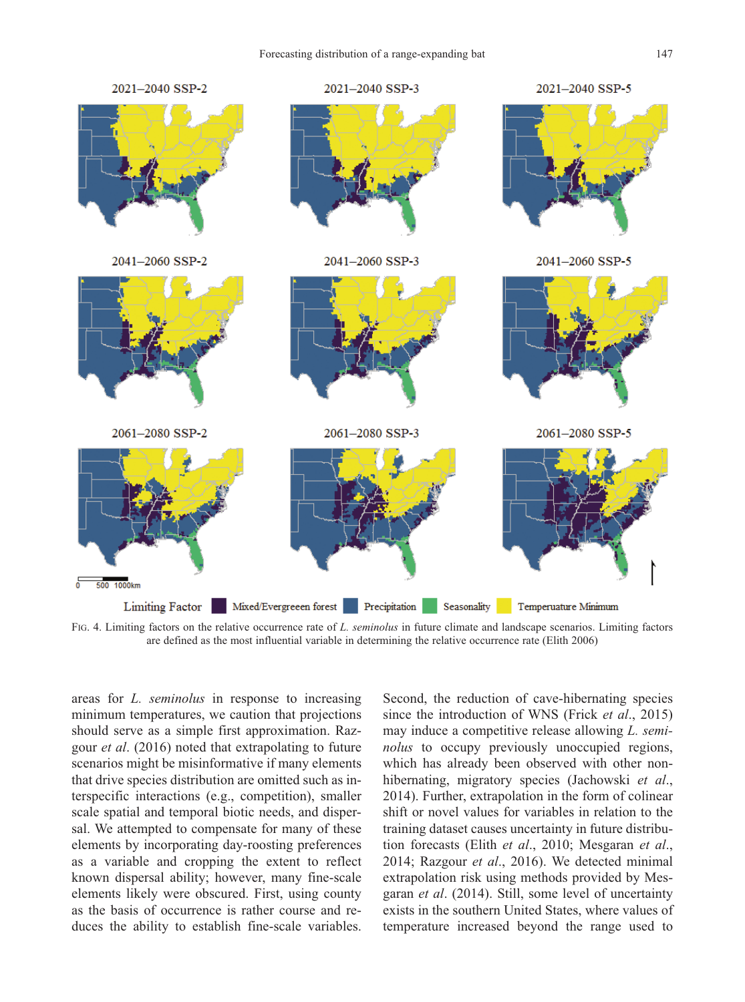

FIG. 4. Limiting factors on the relative occurrence rate of *L. seminolus* in future climate and landscape scenarios. Limiting factors are defined as the most influential variable in determining the relative occurrence rate (Elith 2006)

areas for *L. seminolus* in response to increasing minimum temperatures, we caution that projections should serve as a simple first approximation. Razgour *et al*. (2016) noted that extrapolating to future scenarios might be misinformative if many elements that drive species distribution are omitted such as interspecific interactions (e.g., competition), smaller scale spatial and temporal biotic needs, and dispersal. We attempted to compensate for many of these elements by incorporating day-roosting preferences as a variable and cropping the extent to reflect known dispersal ability; however, many fine-scale elements likely were obscured. First, using county as the basis of occurrence is rather course and reduces the ability to establish fine-scale variables. Second, the reduction of cave-hibernating species since the introduction of WNS (Frick *et al*., 2015) may induce a competitive release allowing *L. seminolus* to occupy previously unoccupied regions, which has already been observed with other nonhibernating, migratory species (Jachowski *et al*., 2014). Further, extrapolation in the form of colinear shift or novel values for variables in relation to the training dataset causes uncertainty in future distribution forecasts (Elith *et al*., 2010; Mesgaran *et al*., 2014; Razgour *et al*., 2016). We detected minimal extrapolation risk using methods provided by Mesgaran *et al*. (2014). Still, some level of uncertainty exists in the southern United States, where values of temperature increased beyond the range used to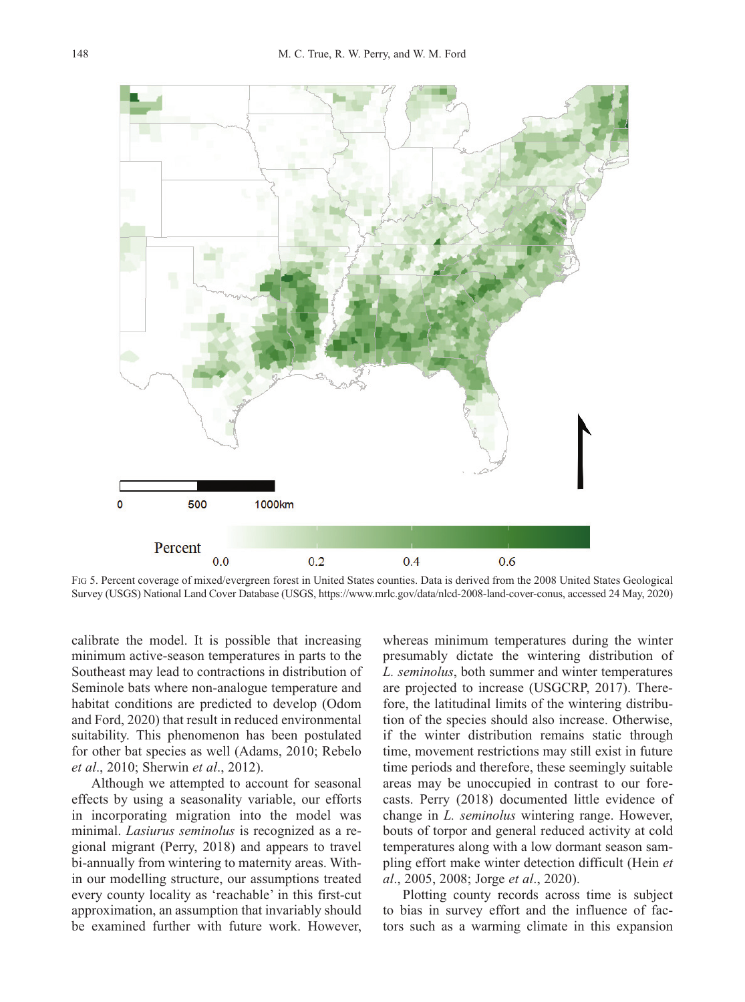

FIG 5. Percent coverage of mixed/evergreen forest in United States counties. Data is derived from the 2008 United States Geological Survey (USGS) National Land Cover Database (USGS, https://www.mrlc.gov/data/nlcd-2008-land-cover-conus, accessed 24 May, 2020)

calibrate the model. It is possible that increasing minimum active-season temperatures in parts to the Southeast may lead to contractions in distribution of Seminole bats where non-analogue temperature and habitat conditions are predicted to develop (Odom and Ford, 2020) that result in reduced environmental suitability. This phenomenon has been postulated for other bat species as well (Adams, 2010; Rebelo *et al*., 2010; Sherwin *et al*., 2012).

Although we attempted to account for seasonal effects by using a seasonality variable, our efforts in incorporating migration into the model was minimal. *Lasiurus seminolus* is recognized as a regional migrant (Perry, 2018) and appears to travel bi-annually from wintering to maternity areas. Within our modelling structure, our assumptions treated every county locality as 'reachable' in this first-cut approximation, an assumption that invariably should be examined further with future work. However, whereas minimum temperatures during the winter presumably dictate the wintering distribution of *L. seminolus*, both summer and winter temperatures are projected to increase (USGCRP, 2017). Therefore, the latitudinal limits of the wintering distribution of the species should also increase. Otherwise, if the winter distribution remains static through time, movement restrictions may still exist in future time periods and therefore, these seemingly suitable areas may be unoccupied in contrast to our forecasts. Perry (2018) documented little evidence of change in *L. seminolus* wintering range. However, bouts of torpor and general reduced activity at cold temperatures along with a low dormant season sampling effort make winter detection difficult (Hein *et al*., 2005, 2008; Jorge *et al*., 2020).

Plotting county records across time is subject to bias in survey effort and the influence of factors such as a warming climate in this expansion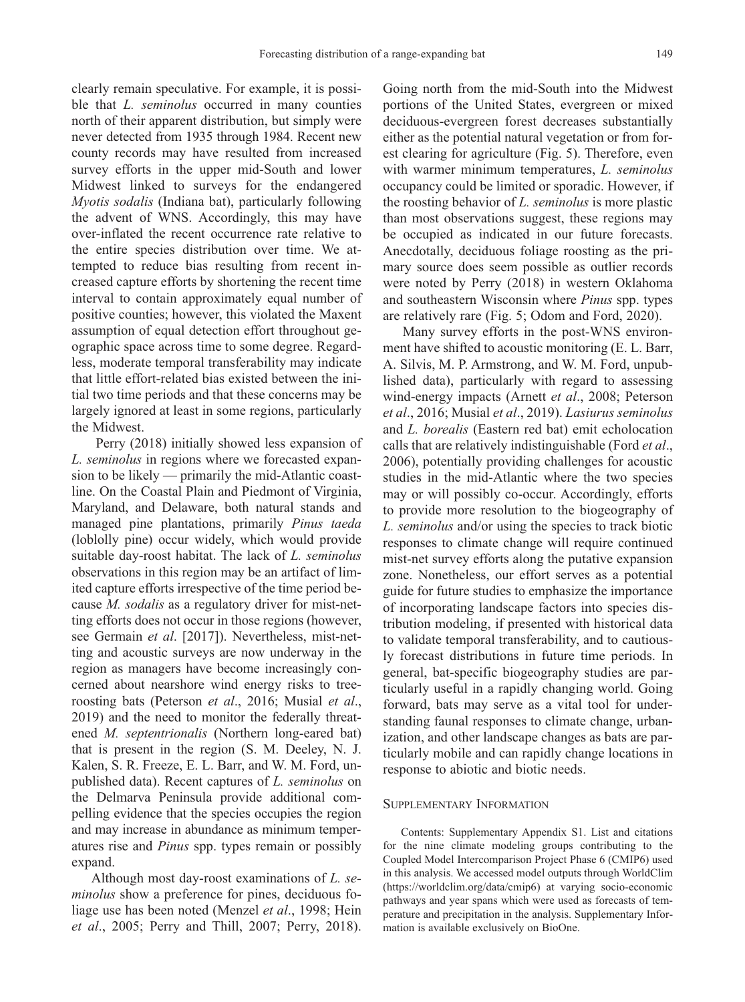clearly remain speculative. For example, it is possible that *L. seminolus* occurred in many counties north of their apparent distribution, but simply were never detected from 1935 through 1984. Recent new county records may have resulted from increased survey efforts in the upper mid-South and lower Midwest linked to surveys for the endangered *Myotis sodalis* (Indiana bat), particularly following the advent of WNS. Accordingly, this may have over-inflated the recent occurrence rate relative to the entire species distribution over time. We attempted to reduce bias resulting from recent increased capture efforts by shortening the recent time interval to contain approximately equal number of positive counties; however, this violated the Maxent assumption of equal detection effort throughout geographic space across time to some degree. Regardless, moderate temporal transferability may indicate that little effort-related bias existed between the initial two time periods and that these concerns may be largely ignored at least in some regions, particularly the Midwest.

Perry (2018) initially showed less expansion of *L. seminolus* in regions where we forecasted expansion to be likely — primarily the mid-Atlantic coastline. On the Coastal Plain and Piedmont of Virginia, Maryland, and Delaware, both natural stands and managed pine plantations, primarily *Pinus taeda* (loblolly pine) occur widely, which would provide suitable day-roost habitat. The lack of *L. seminolus* observations in this region may be an artifact of limited capture efforts irrespective of the time period because *M. sodalis* as a regulatory driver for mist-netting efforts does not occur in those regions (however, see Germain *et al*. [2017]). Nevertheless, mist-netting and acoustic surveys are now underway in the region as managers have become increasingly concerned about nearshore wind energy risks to treeroosting bats (Peterson *et al*., 2016; Musial *et al*., 2019) and the need to monitor the federally threatened *M. septentrionalis* (Northern long-eared bat) that is present in the region (S. M. Deeley, N. J. Kalen, S. R. Freeze, E. L. Barr, and W. M. Ford, unpublished data). Recent captures of *L. seminolus* on the Delmarva Peninsula provide additional compelling evidence that the species occupies the region and may increase in abundance as minimum temperatures rise and *Pinus* spp. types remain or possibly expand.

Although most day-roost examinations of *L. se minolus* show a preference for pines, deciduous foliage use has been noted (Menzel *et al*., 1998; Hein *et al*., 2005; Perry and Thill, 2007; Perry, 2018). Going north from the mid-South into the Midwest portions of the United States, evergreen or mixed deciduous-evergreen forest decreases substantially either as the potential natural vegetation or from forest clearing for agriculture (Fig. 5). Therefore, even with warmer minimum temperatures, *L. seminolus* occupancy could be limited or sporadic. However, if the roosting behavior of *L. seminolus* is more plastic than most observations suggest, these regions may be occupied as indicated in our future forecasts. Anecdotally, deciduous foliage roosting as the primary source does seem possible as outlier records were noted by Perry (2018) in western Oklahoma and southeastern Wisconsin where *Pinus* spp. types are relatively rare (Fig. 5; Odom and Ford, 2020).

Many survey efforts in the post-WNS environment have shifted to acoustic monitoring (E. L. Barr, A. Silvis, M. P. Armstrong, and W. M. Ford, unpublished data), particularly with regard to assessing wind-energy impacts (Arnett *et al*., 2008; Peterson *et al*., 2016; Musial *et al*., 2019). *Lasiurus seminolus* and *L. borealis* (Eastern red bat) emit echolocation calls that are relatively indistinguishable (Ford *et al*., 2006), potentially providing challenges for acoustic studies in the mid-Atlantic where the two species may or will possibly co-occur. Accordingly, efforts to provide more resolution to the biogeography of *L. seminolus* and/or using the species to track biotic responses to climate change will require continued mist-net survey efforts along the putative expansion zone. Nonetheless, our effort serves as a potential guide for future studies to emphasize the importance of incorporating landscape factors into species distribution modeling, if presented with historical data to validate temporal transferability, and to cautious ly forecast distributions in future time periods. In general, bat-specific biogeography studies are particularly useful in a rapidly changing world. Going forward, bats may serve as a vital tool for understanding faunal responses to climate change, urbanization, and other landscape changes as bats are particularly mobile and can rapidly change locations in response to abiotic and biotic needs.

#### SUPPLEMENTARY INFORMATION

Contents: Supplementary Appendix S1. List and citations for the nine climate modeling groups contributing to the Coupled Model Intercomparison Project Phase 6 (CMIP6) used in this analysis. We accessed model outputs through WorldClim (https://worldclim.org/data/cmip6) at varying socio-economic pathways and year spans which were used as forecasts of temperature and precipitation in the analysis. Supplementary Infor mation is available exclusively on BioOne.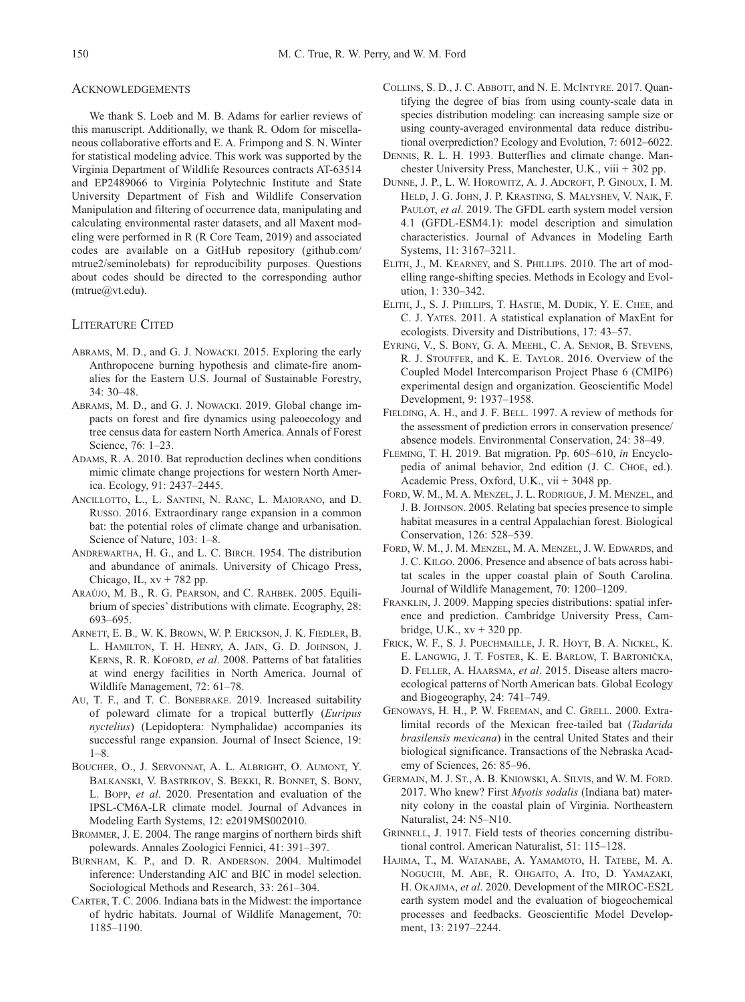#### ACKNOWLEDGEMENTS

We thank S. Loeb and M. B. Adams for earlier reviews of this manuscript. Additionally, we thank R. Odom for miscellaneous collaborative efforts and E. A. Frimpong and S. N. Winter for statistical modeling advice. This work was supported by the Virginia Department of Wildlife Resources contracts AT-63514 and EP2489066 to Virginia Polytechnic Institute and State University Department of Fish and Wildlife Conservation Manipulation and filtering of occurrence data, manipulating and calculating environmental raster datasets, and all Maxent modeling were performed in R (R Core Team, 2019) and associated codes are available on a GitHub repository (github.com/ mtrue2/seminolebats) for reproducibility purposes. Questions about codes should be directed to the corresponding author (mtrue@vt.edu).

### LITERATURE CITED

- ABRAMS, M. D., and G. J. NOWACKI. 2015. Exploring the early Anthropocene burning hypothesis and climate-fire anomalies for the Eastern U.S. Journal of Sustainable Forestry, 34: 30–48.
- ABRAMS, M. D., and G. J. NOWACKI. 2019. Global change impacts on forest and fire dynamics using paleoecology and tree census data for eastern North America. Annals of Forest Science, 76: 1–23.
- ADAMS, R. A. 2010. Bat reproduction declines when conditions mimic climate change projections for western North America. Ecology, 91: 2437–2445.
- ANCILLOTTO, L., L. SANTINI, N. RANC, L. MAIORANO, and D. RUSSO. 2016. Extraordinary range expansion in a common bat: the potential roles of climate change and urbanisation. Science of Nature, 103: 1–8.
- ANDREWARTHA, H. G., and L. C. BIRCH. 1954. The distribution and abundance of animals. University of Chicago Press, Chicago, IL,  $xy + 782$  pp.
- ARAÚJO, M. B., R. G. PEARSON, and C. RAHBEK. 2005. Equilibrium of species' distributions with climate. Ecography, 28: 693–695.
- ARNETT, E. B.*,* W. K. BROWN, W. P. ERICKSON, J. K. FIEDLER, B. L. HAMILTON, T. H. HENRY, A. JAIN, G. D. JOHNSON, J. KERNS, R. R. KOFORD, *et al*. 2008. Patterns of bat fatalities at wind energy facilities in North America. Journal of Wildlife Management, 72: 61–78.
- AU, T. F., and T. C. BONEBRAKE. 2019. Increased suitability of poleward climate for a tropical butterfly (*Euripus nyctelius*) (Lepidoptera: Nymphalidae) accompanies its successful range expansion. Journal of Insect Science, 19: 1–8.
- BOUCHER, O., J. SERVONNAT, A. L. ALBRIGHT, O. AUMONT, Y. BALKANSKI, V. BASTRIKOV, S. BEKKI, R. BONNET, S. BONY, L. BOPP, *et al*. 2020. Presentation and evaluation of the IPSL-CM6A-LR climate model. Journal of Advances in Modeling Earth Systems, 12: e2019MS002010.
- BROMMER, J. E. 2004. The range margins of northern birds shift polewards. Annales Zoologici Fennici, 41: 391–397.
- BURNHAM, K. P., and D. R. ANDERSON. 2004. Multimodel in ference: Understanding AIC and BIC in model selection. Sociological Methods and Research, 33: 261–304.
- CARTER, T. C. 2006. Indiana bats in the Midwest: the importance of hydric habitats. Journal of Wildlife Management, 70: 1185–1190.
- COLLINS, S. D., J. C. ABBOTT, and N. E. MCINTYRE. 2017. Quantifying the degree of bias from using county-scale data in species distribution modeling: can increasing sample size or using county-averaged environmental data reduce distributional overprediction? Ecology and Evolution, 7: 6012–6022.
- DENNIS, R. L. H. 1993. Butterflies and climate change. Manchester University Press, Manchester, U.K., viii + 302 pp.
- DUNNE, J. P., L. W. HOROWITZ, A. J. ADCROFT, P. GINOUX, I. M. HELD, J. G. JOHN, J. P. KRASTING, S. MALYSHEV, V. NAIK, F. PAULOT, *et al.* 2019. The GFDL earth system model version 4.1 (GFDL-ESM4.1): model description and simulation characteristics. Journal of Advances in Modeling Earth Systems, 11: 3167–3211.
- ELITH, J., M. KEARNEY, and S. PHILLIPS. 2010. The art of modelling range-shifting species. Methods in Ecology and Evolution, 1: 330–342.
- ELITH, J., S. J. PHILLIPS, T. HASTIE, M. DUDÍK, Y. E. CHEE, and C. J. YATES. 2011. A statistical explanation of MaxEnt for ecologists. Diversity and Distributions, 17: 43–57.
- EYRING, V., S. BONY, G. A. MEEHL, C. A. SENIOR, B. STEVENS, R. J. STOUFFER, and K. E. TAYLOR. 2016. Overview of the Coupled Model Intercomparison Project Phase 6 (CMIP6) experimental design and organization. Geoscientific Model Development, 9: 1937–1958.
- FIELDING, A. H., and J. F. BELL. 1997. A review of methods for the assessment of prediction errors in conservation presence/ absence models. Environmental Conservation, 24: 38–49.
- FLEMING, T. H. 2019. Bat migration. Pp. 605–610, *in* Encyclo pedia of animal behavior, 2nd edition (J. C. CHOE, ed.). Academic Press, Oxford, U.K., vii + 3048 pp.
- FORD, W. M., M. A. MENZEL, J. L. RODRIGUE, J. M. MENZEL, and J. B. JOHNSON. 2005. Relating bat species presence to simple habitat measures in a central Appalachian forest. Biological Conservation, 126: 528–539.
- FORD, W. M., J. M. MENZEL, M. A. MENZEL, J. W. EDWARDS, and J. C. KILGO. 2006. Presence and absence of bats across habitat scales in the upper coastal plain of South Carolina. Journal of Wildlife Management, 70: 1200–1209.
- FRANKLIN, J. 2009. Mapping species distributions: spatial inference and prediction. Cambridge University Press, Cambridge, U.K.,  $xy + 320$  pp.
- FRICK, W. F., S. J. PUECHMAILLE, J. R. HOYT, B. A. NICKEL, K. E. LANGWIG, J. T. FOSTER, K. E. BARLOW, T. BARTONIČKA, D. FELLER, A. HAARSMA, *et al*. 2015. Disease alters macroecological patterns of North American bats. Global Ecology and Biogeography, 24: 741–749.
- GENOWAYS, H. H., P. W. FREEMAN, and C. GRELL. 2000. Extra limital records of the Mexican free-tailed bat (*Tadarida brasilensis mexicana*) in the central United States and their biological significance. Transactions of the Nebraska Academy of Sciences, 26: 85–96.
- GERMAIN, M. J. ST., A. B. KNIOWSKI, A. SILVIS, and W. M. FORD. 2017. Who knew? First *Myotis sodalis* (Indiana bat) maternity colony in the coastal plain of Virginia. Northeastern Naturalist, 24: N5–N10.
- GRINNELL, J. 1917. Field tests of theories concerning distributional control. American Naturalist, 51: 115–128.
- HAJIMA, T., M. WATANABE, A. YAMAMOTO, H. TATEBE, M. A. NOGUCHI, M. ABE, R. OHGAITO, A. ITO, D. YAMAZAKI, H. OKAJIMA, *et al*. 2020. Development of the MIROC-ES2L earth system model and the evaluation of biogeochemical processes and feedbacks. Geoscientific Model Development, 13: 2197–2244.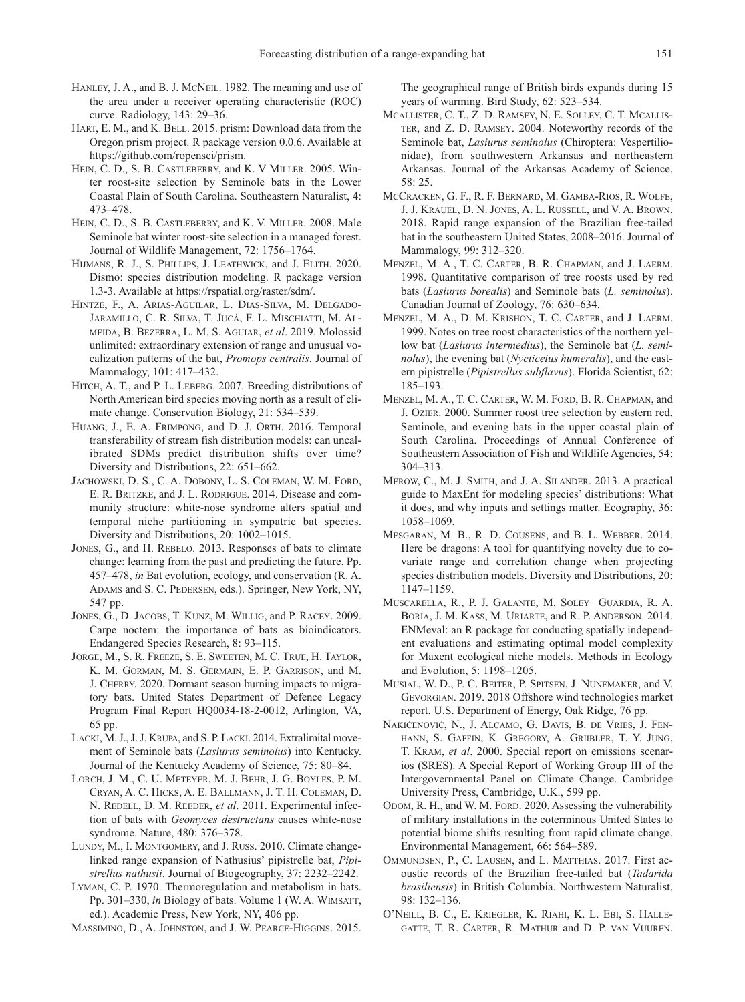- HANLEY, J. A., and B. J. MCNEIL. 1982. The meaning and use of the area under a receiver operating characteristic (ROC) curve. Radiology, 143: 29–36.
- HART, E. M., and K. BELL. 2015. prism: Download data from the Oregon prism project. R package version 0.0.6. Available at https://github.com/ropensci/prism.
- HEIN, C. D., S. B. CASTLEBERRY, and K. V MILLER. 2005. Winter roost-site selection by Seminole bats in the Lower Coastal Plain of South Carolina. Southeastern Naturalist, 4: 473–478.
- HEIN, C. D., S. B. CASTLEBERRY, and K. V. MILLER. 2008. Male Seminole bat winter roost-site selection in a managed forest. Journal of Wildlife Management, 72: 1756–1764.
- HIJMANS, R. J., S. PHILLIPS, J. LEATHWICK, and J. ELITH. 2020. Dismo: species distribution modeling. R package version 1.3-3. Available at https://rspatial.org/raster/sdm/.
- HINTZE, F., A. ARIAS-AGUILAR, L. DIAS-SILVA, M. DELGADO-JARAMILLO, C. R. SILVA, T. JUCÁ, F. L. MISCHIATTI, M. AL-MEIDA, B. BEZERRA, L. M. S. AGUIAR, *et al*. 2019. Molossid unlimited: extraordinary extension of range and unusual vocalization patterns of the bat, *Promops centralis*. Journal of Mammalogy, 101: 417–432.
- HITCH, A. T., and P. L. LEBERG. 2007. Breeding distributions of North American bird species moving north as a result of climate change. Conservation Biology, 21: 534–539.
- HUANG, J., E. A. FRIMPONG, and D. J. ORTH. 2016. Temporal transferability of stream fish distribution models: can uncalibrated SDMs predict distribution shifts over time? Diversity and Distributions, 22: 651–662.
- JACHOWSKI, D. S., C. A. DOBONY, L. S. COLEMAN, W. M. FORD, E. R. BRITZKE, and J. L. RODRIGUE. 2014. Disease and community structure: white-nose syndrome alters spatial and temporal niche partitioning in sympatric bat species. Diversity and Distributions, 20: 1002–1015.
- JONES, G., and H. REBELO. 2013. Responses of bats to climate change: learning from the past and predicting the future. Pp. 457–478, *in* Bat evolution, ecology, and conservation (R. A. ADAMS and S. C. PEDERSEN, eds.). Springer, New York, NY, 547 pp.
- JONES, G., D. JACOBS, T. KUNZ, M. WILLIG, and P. RACEY. 2009. Carpe noctem: the importance of bats as bioindicators. Endangered Species Research, 8: 93–115.
- JORGE, M., S. R. FREEZE, S. E. SWEETEN, M. C. TRUE, H. TAYLOR, K. M. GORMAN, M. S. GERMAIN, E. P. GARRISON, and M. J. CHERRY. 2020. Dormant season burning impacts to migratory bats. United States Department of Defence Legacy Program Final Report HQ0034-18-2-0012, Arlington, VA, 65 pp.
- LACKI, M. J., J. J. KRUPA, and S. P. LACKI. 2014. Extralimital movement of Seminole bats (*Lasiurus seminolus*) into Kentucky. Journal of the Kentucky Academy of Science, 75: 80–84.
- LORCH, J. M., C. U. METEYER, M. J. BEHR, J. G. BOYLES, P. M. CRYAN, A. C. HICKS, A. E. BALLMANN, J. T. H. COLEMAN, D. N. REDELL, D. M. REEDER, *et al*. 2011. Experimental infection of bats with *Geomyces destructans* causes white-nose syndrome. Nature, 480: 376–378.
- LUNDY, M., I. MONTGOMERY, and J. RUSS. 2010. Climate changelinked range expansion of Nathusius' pipistrelle bat, *Pipi strellus nathusii*. Journal of Biogeography, 37: 2232–2242.
- LYMAN, C. P. 1970. Thermoregulation and metabolism in bats. Pp. 301–330, *in* Biology of bats. Volume 1 (W. A. WIMSATT, ed.). Academic Press, New York, NY, 406 pp.
- MASSIMINO, D., A. JOHNSTON, and J. W. PEARCE-HIGGINS. 2015.

The geographical range of British birds expands during 15 years of warming. Bird Study, 62: 523–534.

- MCALLISTER, C. T., Z. D. RAMSEY, N. E. SOLLEY, C. T. MCALLIS-TER, and Z. D. RAMSEY. 2004. Noteworthy records of the Seminole bat, *Lasiurus seminolus* (Chiroptera: Vespertilionidae), from southwestern Arkansas and northeastern Arkansas. Journal of the Arkansas Academy of Science, 58: 25.
- MCCRACKEN, G. F., R. F. BERNARD, M. GAMBA-RIOS, R. WOLFE, J. J. KRAUEL, D. N. JONES, A. L. RUSSELL, and V. A. BROWN. 2018. Rapid range expansion of the Brazilian free-tailed bat in the southeastern United States, 2008–2016. Journal of Mammalogy, 99: 312-320.
- MENZEL, M. A., T. C. CARTER, B. R. CHAPMAN, and J. LAERM. 1998. Quantitative comparison of tree roosts used by red bats (*Lasiurus borealis*) and Seminole bats (*L. seminolus*). Canadian Journal of Zoology, 76: 630–634.
- MENZEL, M. A., D. M. KRISHON, T. C. CARTER, and J. LAERM. 1999. Notes on tree roost characteristics of the northern yellow bat (*Lasiurus intermedius*), the Seminole bat (*L. seminolus*), the evening bat (*Nycticeius humeralis*), and the eastern pipistrelle (*Pipistrellus subflavus*). Florida Scientist, 62: 185–193.
- MENZEL, M. A., T. C. CARTER, W. M. FORD, B. R. CHAPMAN, and J. OZIER. 2000. Summer roost tree selection by eastern red, Seminole, and evening bats in the upper coastal plain of South Carolina. Proceedings of Annual Conference of Southeastern Association of Fish and Wildlife Agencies, 54: 304–313.
- MEROW, C., M. J. SMITH, and J. A. SILANDER. 2013. A practical guide to MaxEnt for modeling species' distributions: What it does, and why inputs and settings matter. Ecography, 36: 1058–1069.
- MESGARAN, M. B., R. D. COUSENS, and B. L. WEBBER. 2014. Here be dragons: A tool for quantifying novelty due to covariate range and correlation change when projecting species distribution models. Diversity and Distributions, 20: 1147–1159.
- MUSCARELLA, R., P. J. GALANTE, M. SOLEY‐GUARDIA, R. A. BORIA, J. M. KASS, M. URIARTE, and R. P. ANDERSON. 2014. ENMeval: an R package for conducting spatially independent evaluations and estimating optimal model complexity for Maxent ecological niche models. Methods in Ecology and Evolution, 5: 1198–1205.
- MUSIAL, W. D., P. C. BEITER, P. SPITSEN, J. NUNEMAKER, and V. GEVORGIAN. 2019. 2018 Offshore wind technologies market report. U.S. Department of Energy, Oak Ridge, 76 pp.
- NAKIĆENOVIĆ, N., J. ALCAMO, G. DAVIS, B. DE VRIES, J. FEN-HANN, S. GAFFIN, K. GREGORY, A. GRIIBLER, T. Y. JUNG, T. KRAM, *et al*. 2000. Special report on emissions scenarios (SRES). A Special Report of Working Group III of the Intergovernmental Panel on Climate Change. Cambridge University Press, Cambridge, U.K., 599 pp.
- ODOM, R. H., and W. M. FORD. 2020. Assessing the vulnerability of military installations in the coterminous United States to potential biome shifts resulting from rapid climate change. Environmental Management, 66: 564–589.
- OMMUNDSEN, P., C. LAUSEN, and L. MATTHIAS. 2017. First acoustic records of the Brazilian free-tailed bat (*Tadarida brasiliensis*) in British Columbia. Northwestern Naturalist, 98: 132–136.
- O'NEILL, B. C., E. KRIEGLER, K. RIAHI, K. L. EBI, S. HALLE-GATTE, T. R. CARTER, R. MATHUR and D. P. VAN VUUREN.